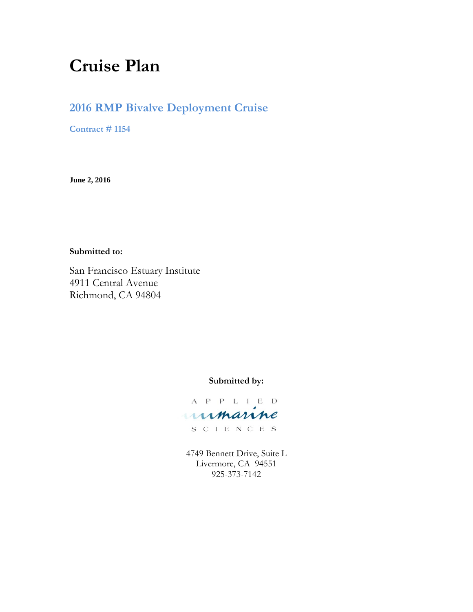# **Cruise Plan**

# **2016 RMP Bivalve Deployment Cruise**

**Contract # 1154**

**June 2, 2016**

#### **Submitted to:**

San Francisco Estuary Institute 4911 Central Avenue Richmond, CA 94804

#### **Submitted by:**

A P P L I E D umanne

S C I E N C E S

4749 Bennett Drive, Suite L Livermore, CA 94551 925-373-7142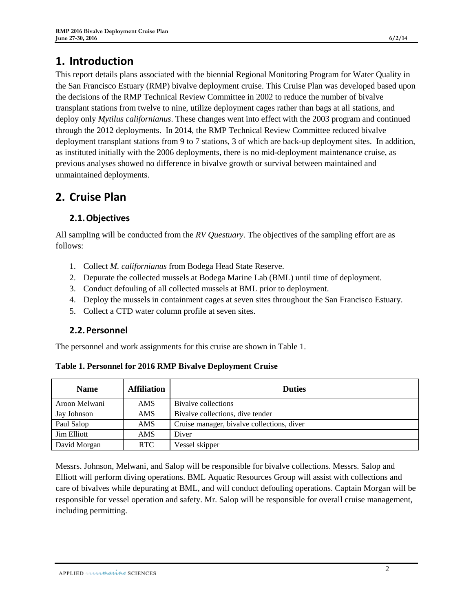# **1. Introduction**

This report details plans associated with the biennial Regional Monitoring Program for Water Quality in the San Francisco Estuary (RMP) bivalve deployment cruise. This Cruise Plan was developed based upon the decisions of the RMP Technical Review Committee in 2002 to reduce the number of bivalve transplant stations from twelve to nine, utilize deployment cages rather than bags at all stations, and deploy only *Mytilus californianus*. These changes went into effect with the 2003 program and continued through the 2012 deployments. In 2014, the RMP Technical Review Committee reduced bivalve deployment transplant stations from 9 to 7 stations, 3 of which are back-up deployment sites. In addition, as instituted initially with the 2006 deployments, there is no mid-deployment maintenance cruise, as previous analyses showed no difference in bivalve growth or survival between maintained and unmaintained deployments.

# **2. Cruise Plan**

## **2.1.Objectives**

All sampling will be conducted from the *RV Questuary.* The objectives of the sampling effort are as follows:

- 1. Collect *M. californianus* from Bodega Head State Reserve.
- 2. Depurate the collected mussels at Bodega Marine Lab (BML) until time of deployment.
- 3. Conduct defouling of all collected mussels at BML prior to deployment.
- 4. Deploy the mussels in containment cages at seven sites throughout the San Francisco Estuary.
- 5. Collect a CTD water column profile at seven sites.

#### **2.2.Personnel**

The personnel and work assignments for this cruise are shown in [Table 1.](#page-1-0)

| <b>Name</b>        | <b>Affiliation</b> | <b>Duties</b>                              |  |
|--------------------|--------------------|--------------------------------------------|--|
| Aroon Melwani      | AMS.               | Bivalve collections                        |  |
| Jay Johnson        | AMS.               | Bivalve collections, dive tender           |  |
| Paul Salop         | AMS                | Cruise manager, bivalve collections, diver |  |
| <b>Jim Elliott</b> | AMS.               | Diver                                      |  |
| David Morgan       | <b>RTC</b>         | Vessel skipper                             |  |

<span id="page-1-0"></span>**Table 1. Personnel for 2016 RMP Bivalve Deployment Cruise**

Messrs. Johnson, Melwani, and Salop will be responsible for bivalve collections. Messrs. Salop and Elliott will perform diving operations. BML Aquatic Resources Group will assist with collections and care of bivalves while depurating at BML, and will conduct defouling operations. Captain Morgan will be responsible for vessel operation and safety. Mr. Salop will be responsible for overall cruise management, including permitting.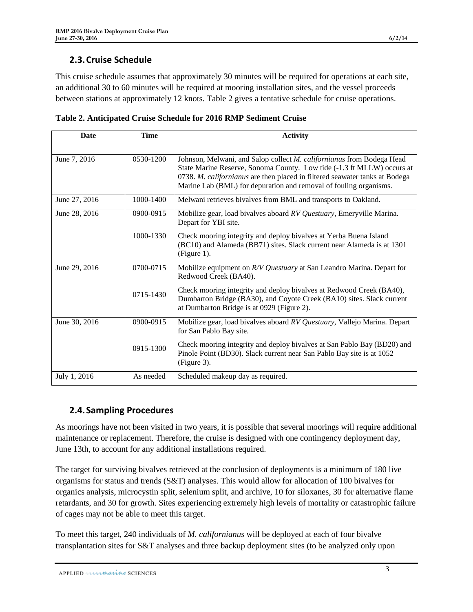## **2.3.Cruise Schedule**

This cruise schedule assumes that approximately 30 minutes will be required for operations at each site, an additional 30 to 60 minutes will be required at mooring installation sites, and the vessel proceeds between stations at approximately 12 knots. [Table 2](#page-2-0) gives a tentative schedule for cruise operations.

<span id="page-2-0"></span>

| Table 2. Anticipated Cruise Schedule for 2016 RMP Sediment Cruise |  |
|-------------------------------------------------------------------|--|
|-------------------------------------------------------------------|--|

| <b>Date</b>   | <b>Time</b> | <b>Activity</b>                                                                                                                                                                                                                                                                                     |
|---------------|-------------|-----------------------------------------------------------------------------------------------------------------------------------------------------------------------------------------------------------------------------------------------------------------------------------------------------|
| June 7, 2016  | 0530-1200   | Johnson, Melwani, and Salop collect M. californianus from Bodega Head<br>State Marine Reserve, Sonoma County. Low tide (-1.3 ft MLLW) occurs at<br>0738. M. californianus are then placed in filtered seawater tanks at Bodega<br>Marine Lab (BML) for depuration and removal of fouling organisms. |
| June 27, 2016 | 1000-1400   | Melwani retrieves bivalves from BML and transports to Oakland.                                                                                                                                                                                                                                      |
| June 28, 2016 | 0900-0915   | Mobilize gear, load bivalves aboard RV Questuary, Emeryville Marina.<br>Depart for YBI site.                                                                                                                                                                                                        |
|               | 1000-1330   | Check mooring integrity and deploy bivalves at Yerba Buena Island<br>(BC10) and Alameda (BB71) sites. Slack current near Alameda is at 1301<br>$(Figure 1)$ .                                                                                                                                       |
| June 29, 2016 | 0700-0715   | Mobilize equipment on R/V Questuary at San Leandro Marina. Depart for<br>Redwood Creek (BA40).                                                                                                                                                                                                      |
|               | 0715-1430   | Check mooring integrity and deploy bivalves at Redwood Creek (BA40),<br>Dumbarton Bridge (BA30), and Coyote Creek (BA10) sites. Slack current<br>at Dumbarton Bridge is at 0929 (Figure 2).                                                                                                         |
| June 30, 2016 | 0900-0915   | Mobilize gear, load bivalves aboard RV Questuary, Vallejo Marina. Depart<br>for San Pablo Bay site.                                                                                                                                                                                                 |
|               | 0915-1300   | Check mooring integrity and deploy bivalves at San Pablo Bay (BD20) and<br>Pinole Point (BD30). Slack current near San Pablo Bay site is at 1052<br>(Figure 3).                                                                                                                                     |
| July 1, 2016  | As needed   | Scheduled makeup day as required.                                                                                                                                                                                                                                                                   |

### **2.4.Sampling Procedures**

As moorings have not been visited in two years, it is possible that several moorings will require additional maintenance or replacement. Therefore, the cruise is designed with one contingency deployment day, June 13th, to account for any additional installations required.

The target for surviving bivalves retrieved at the conclusion of deployments is a minimum of 180 live organisms for status and trends (S&T) analyses. This would allow for allocation of 100 bivalves for organics analysis, microcystin split, selenium split, and archive, 10 for siloxanes, 30 for alternative flame retardants, and 30 for growth. Sites experiencing extremely high levels of mortality or catastrophic failure of cages may not be able to meet this target.

To meet this target, 240 individuals of *M. californianus* will be deployed at each of four bivalve transplantation sites for S&T analyses and three backup deployment sites (to be analyzed only upon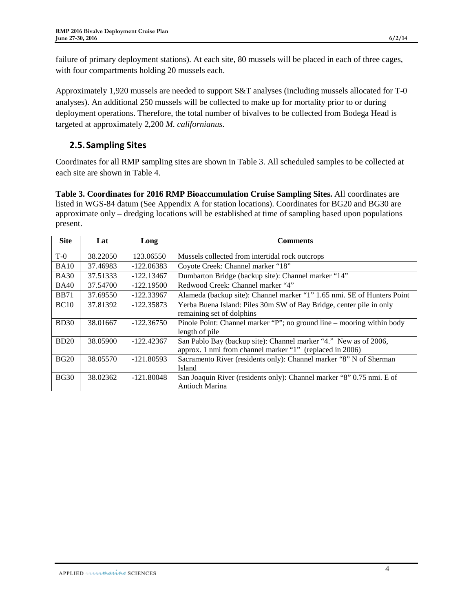failure of primary deployment stations). At each site, 80 mussels will be placed in each of three cages, with four compartments holding 20 mussels each.

Approximately 1,920 mussels are needed to support S&T analyses (including mussels allocated for T-0 analyses). An additional 250 mussels will be collected to make up for mortality prior to or during deployment operations. Therefore, the total number of bivalves to be collected from Bodega Head is targeted at approximately 2,200 *M. californianus*.

## **2.5.Sampling Sites**

Coordinates for all RMP sampling sites are shown in [Table 3.](#page-3-0) All scheduled samples to be collected at each site are shown in [Table 4.](#page-4-0)

<span id="page-3-0"></span>**Table 3. Coordinates for 2016 RMP Bioaccumulation Cruise Sampling Sites.** All coordinates are listed in WGS-84 datum (See Appendix A for station locations). Coordinates for BG20 and BG30 are approximate only – dredging locations will be established at time of sampling based upon populations present.

| <b>Site</b> | Lat      | Long         | <b>Comments</b>                                                         |  |  |
|-------------|----------|--------------|-------------------------------------------------------------------------|--|--|
| $T-0$       | 38.22050 | 123.06550    | Mussels collected from intertidal rock outcrops                         |  |  |
| <b>BA10</b> | 37.46983 | $-122.06383$ | Coyote Creek: Channel marker "18"                                       |  |  |
| <b>BA30</b> | 37.51333 | $-122.13467$ | Dumbarton Bridge (backup site): Channel marker "14"                     |  |  |
| <b>BA40</b> | 37.54700 | $-122.19500$ | Redwood Creek: Channel marker "4"                                       |  |  |
| <b>BB71</b> | 37.69550 | $-122.33967$ | Alameda (backup site): Channel marker "1" 1.65 nmi. SE of Hunters Point |  |  |
| <b>BC10</b> | 37.81392 | $-122.35873$ | Yerba Buena Island: Piles 30m SW of Bay Bridge, center pile in only     |  |  |
|             |          |              | remaining set of dolphins                                               |  |  |
| <b>BD30</b> | 38.01667 | $-122.36750$ | Pinole Point: Channel marker "P"; no ground line – mooring within body  |  |  |
|             |          |              | length of pile                                                          |  |  |
| BD20        | 38.05900 | $-122.42367$ | San Pablo Bay (backup site): Channel marker "4." New as of 2006,        |  |  |
|             |          |              | approx. 1 nmi from channel marker "1" (replaced in 2006)                |  |  |
| BG20        | 38.05570 | $-121.80593$ | Sacramento River (residents only): Channel marker "8" N of Sherman      |  |  |
|             |          |              | <b>Island</b>                                                           |  |  |
| <b>BG30</b> | 38.02362 | $-121.80048$ | San Joaquin River (residents only): Channel marker "8" 0.75 nmi. E of   |  |  |
|             |          |              | <b>Antioch Marina</b>                                                   |  |  |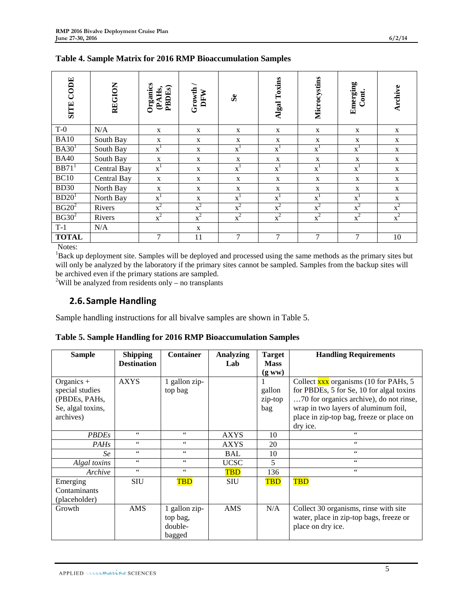| <b>SITE CODE</b>    | <b>REGION</b> | Organics<br>(PAHs,<br><b>PBDEs</b> | Growth /<br>DFW | S <sub>e</sub> | Algal Toxins   | Microcystins     | Emerging<br>Cont. | Archive      |
|---------------------|---------------|------------------------------------|-----------------|----------------|----------------|------------------|-------------------|--------------|
| $T-0$               | N/A           | X                                  | $\mathbf{X}$    | X              | X              | $\mathbf X$      | $\mathbf X$       | $\mathbf X$  |
| <b>BA10</b>         | South Bay     | $\mathbf X$                        | X               | $\mathbf X$    | $\mathbf X$    | X                | $\mathbf X$       | $\mathbf X$  |
| BA30 <sup>1</sup>   | South Bay     | $x^1$                              | $\mathbf{X}$    | $x^1$          | $x^1$          | $x^1$            | $x^1$             | $\mathbf{X}$ |
| <b>BA40</b>         | South Bay     | $\mathbf X$                        | $\mathbf X$     | $\mathbf X$    | $\mathbf X$    | $\mathbf X$      | $\mathbf X$       | $\mathbf X$  |
| $BB71$ <sup>1</sup> | Central Bay   | $\overline{x}^1$                   | $\mathbf{X}$    | $\mathbf{x}^1$ | $x^1$          | $x^1$            | $x^1$             | $\mathbf X$  |
| BC10                | Central Bay   | $\mathbf X$                        | X               | $\mathbf X$    | $\mathbf X$    | $\mathbf X$      | $\mathbf{X}$      | X            |
| <b>BD30</b>         | North Bay     | X                                  | X               | X              | $\mathbf X$    | X                | X                 | X            |
| BD20 <sup>1</sup>   | North Bay     | $x^1$                              | X               | $\mathbf{x}^1$ | $x^1$          | $x^1$            | $x^1$             | X            |
| $BG20^2$            | Rivers        | $x^2$                              | $x^2$           | $x^2$          | $x^2$          | $\overline{x}^2$ | $x^2$             | $x^2$        |
| $BG30^2$            | Rivers        | $x^2$                              | $x^2$           | $x^2$          | $x^2$          | $x^2$            | $x^2$             | $x^2$        |
| $T-1$               | N/A           |                                    | $\mathbf X$     |                |                |                  |                   |              |
| <b>TOTAL</b>        |               | 7                                  | 11              | 7              | $\overline{7}$ | $\overline{7}$   | 7                 | 10           |

<span id="page-4-0"></span>**Table 4. Sample Matrix for 2016 RMP Bioaccumulation Samples**

Notes:

<sup>1</sup>Back up deployment site. Samples will be deployed and processed using the same methods as the primary sites but will only be analyzed by the laboratory if the primary sites cannot be sampled. Samples from the backup sites will be archived even if the primary stations are sampled.

<sup>2</sup>Will be analyzed from residents only – no transplants

#### **2.6.Sample Handling**

Sample handling instructions for all bivalve samples are shown i[n Table 5.](#page-4-1)

<span id="page-4-1"></span>**Table 5. Sample Handling for 2016 RMP Bioaccumulation Samples**

| <b>Sample</b>                                                                      | <b>Shipping</b><br><b>Destination</b> | <b>Container</b>                               | <b>Analyzing</b><br>Lab | <b>Target</b><br><b>Mass</b><br>(gww) | <b>Handling Requirements</b>                                                                                                                                                                                                                |
|------------------------------------------------------------------------------------|---------------------------------------|------------------------------------------------|-------------------------|---------------------------------------|---------------------------------------------------------------------------------------------------------------------------------------------------------------------------------------------------------------------------------------------|
| Organics $+$<br>special studies<br>(PBDEs, PAHs,<br>Se, algal toxins,<br>archives) | <b>AXYS</b>                           | 1 gallon zip-<br>top bag                       |                         | gallon<br>zip-top<br>bag              | Collect $\frac{xxx}{xxx}$ organisms (10 for PAHs, 5)<br>for PBDEs, 5 for Se, 10 for algal toxins<br>70 for organics archive), do not rinse,<br>wrap in two layers of aluminum foil,<br>place in zip-top bag, freeze or place on<br>dry ice. |
| <b>PBDEs</b>                                                                       | $\mbox{4}\,\mbox{4}$                  | 66                                             | <b>AXYS</b>             | 10                                    | 66                                                                                                                                                                                                                                          |
| <b>PAHs</b>                                                                        | $\zeta\,\zeta$                        | 66                                             | <b>AXYS</b>             | 20                                    | $\zeta\,\zeta$                                                                                                                                                                                                                              |
| Se                                                                                 | $\zeta\,\zeta$                        | $\epsilon$ $\epsilon$                          | <b>BAL</b>              | 10                                    | $\zeta\,\zeta$                                                                                                                                                                                                                              |
| Algal toxins                                                                       | $\zeta\,\zeta$                        | 66                                             | <b>UCSC</b>             | 5                                     | $\epsilon\,\epsilon$                                                                                                                                                                                                                        |
| Archive                                                                            | $\zeta\,\zeta$                        | $\epsilon$ $\epsilon$                          | <b>TBD</b>              | 136                                   | $\zeta\,\zeta$                                                                                                                                                                                                                              |
| Emerging<br>Contaminants<br>(placeholder)                                          | <b>SIU</b>                            | <b>TBD</b>                                     | <b>SIU</b>              | <b>TBD</b>                            | <b>TBD</b>                                                                                                                                                                                                                                  |
| Growth                                                                             | AMS                                   | 1 gallon zip-<br>top bag,<br>double-<br>bagged | <b>AMS</b>              | N/A                                   | Collect 30 organisms, rinse with site<br>water, place in zip-top bags, freeze or<br>place on dry ice.                                                                                                                                       |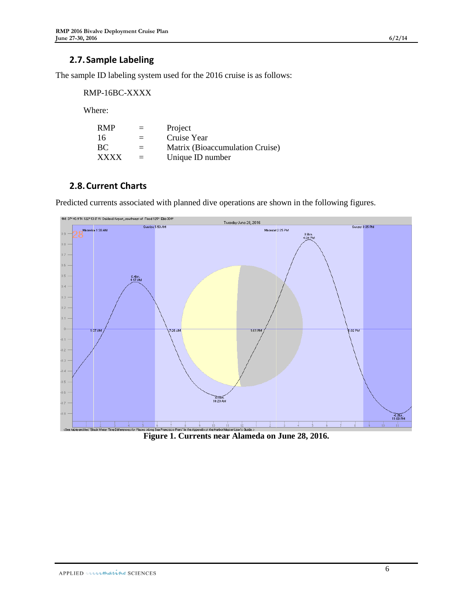#### **2.7.Sample Labeling**

The sample ID labeling system used for the 2016 cruise is as follows:

RMP-16BC-XXXX

Where:

| <b>RMP</b>  | $=$ | Project                         |
|-------------|-----|---------------------------------|
| 16          | $=$ | Cruise Year                     |
| BC          | $=$ | Matrix (Bioaccumulation Cruise) |
| <b>XXXX</b> | $=$ | Unique ID number                |

#### **2.8.Current Charts**

Predicted currents associated with planned dive operations are shown in the following figures.

<span id="page-5-0"></span>

**Figure 1. Currents near Alameda on June 28, 2016.**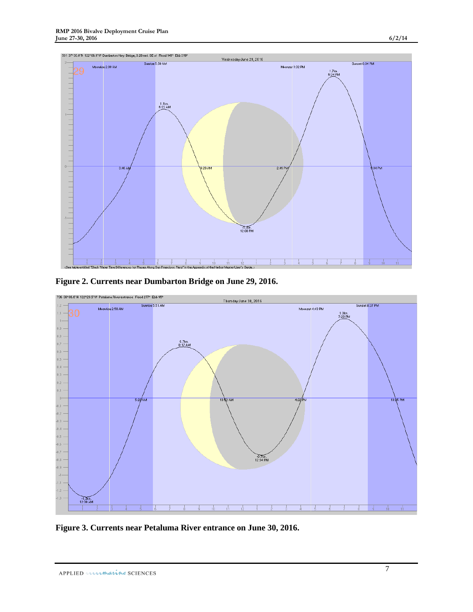

<span id="page-6-0"></span>**Figure 2. Currents near Dumbarton Bridge on June 29, 2016.**



<span id="page-6-1"></span>**Figure 3. Currents near Petaluma River entrance on June 30, 2016.**